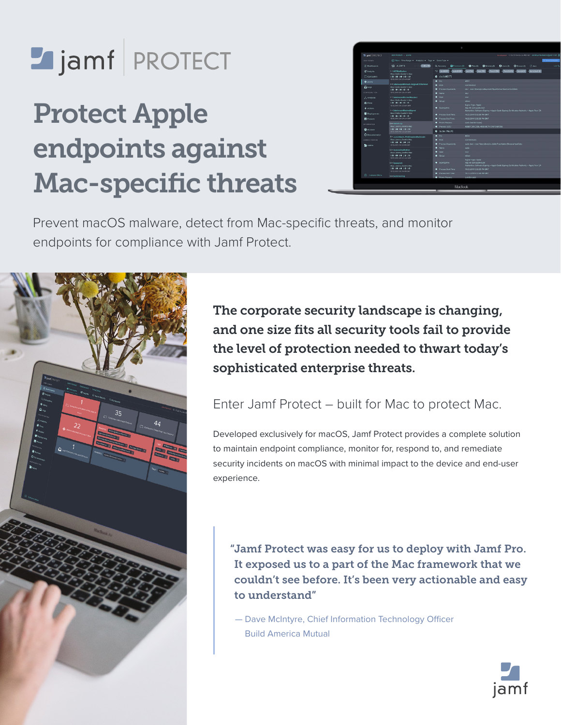# Jamf PROTECT

# Protect Apple endpoints against Mac-specific threats



Prevent macOS malware, detect from Mac-specific threats, and monitor endpoints for compliance with Jamf Protect.



The corporate security landscape is changing, and one size fits all security tools fail to provide the level of protection needed to thwart today's sophisticated enterprise threats.

# Enter Jamf Protect – built for Mac to protect Mac.

Developed exclusively for macOS, Jamf Protect provides a complete solution to maintain endpoint compliance, monitor for, respond to, and remediate security incidents on macOS with minimal impact to the device and end-user experience.

"Jamf Protect was easy for us to deploy with Jamf Pro. It exposed us to a part of the Mac framework that we couldn't see before. It's been very actionable and easy to understand"

 — Dave McIntyre, Chief Information Technology Officer Build America Mutual